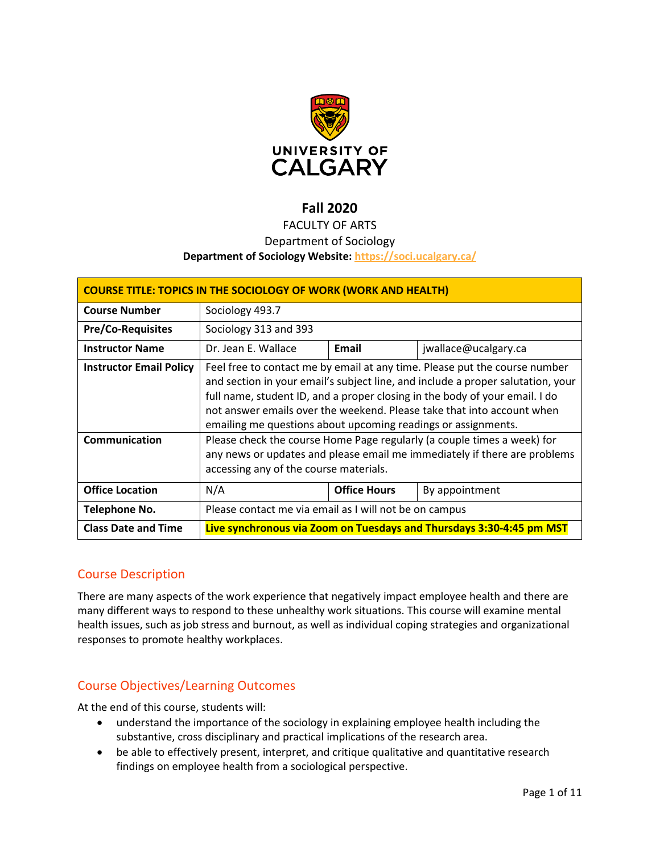

# **Fall 2020**

# FACULTY OF ARTS

## Department of Sociology

### **Department of Sociology Website:<https://soci.ucalgary.ca/>**

| <b>COURSE TITLE: TOPICS IN THE SOCIOLOGY OF WORK (WORK AND HEALTH)</b> |                                                                                                                                                                                                                                                                                                                                                                                                                                                                    |                     |                      |  |  |
|------------------------------------------------------------------------|--------------------------------------------------------------------------------------------------------------------------------------------------------------------------------------------------------------------------------------------------------------------------------------------------------------------------------------------------------------------------------------------------------------------------------------------------------------------|---------------------|----------------------|--|--|
| <b>Course Number</b>                                                   | Sociology 493.7                                                                                                                                                                                                                                                                                                                                                                                                                                                    |                     |                      |  |  |
| <b>Pre/Co-Requisites</b>                                               | Sociology 313 and 393                                                                                                                                                                                                                                                                                                                                                                                                                                              |                     |                      |  |  |
| <b>Instructor Name</b>                                                 | Dr. Jean E. Wallace                                                                                                                                                                                                                                                                                                                                                                                                                                                | Email               | jwallace@ucalgary.ca |  |  |
| <b>Instructor Email Policy</b><br>Communication                        | Feel free to contact me by email at any time. Please put the course number<br>and section in your email's subject line, and include a proper salutation, your<br>full name, student ID, and a proper closing in the body of your email. I do<br>not answer emails over the weekend. Please take that into account when<br>emailing me questions about upcoming readings or assignments.<br>Please check the course Home Page regularly (a couple times a week) for |                     |                      |  |  |
|                                                                        | any news or updates and please email me immediately if there are problems<br>accessing any of the course materials.                                                                                                                                                                                                                                                                                                                                                |                     |                      |  |  |
| <b>Office Location</b>                                                 | N/A                                                                                                                                                                                                                                                                                                                                                                                                                                                                | <b>Office Hours</b> | By appointment       |  |  |
| Telephone No.                                                          | Please contact me via email as I will not be on campus                                                                                                                                                                                                                                                                                                                                                                                                             |                     |                      |  |  |
| <b>Class Date and Time</b>                                             | Live synchronous via Zoom on Tuesdays and Thursdays 3:30-4:45 pm MST                                                                                                                                                                                                                                                                                                                                                                                               |                     |                      |  |  |

## Course Description

There are many aspects of the work experience that negatively impact employee health and there are many different ways to respond to these unhealthy work situations. This course will examine mental health issues, such as job stress and burnout, as well as individual coping strategies and organizational responses to promote healthy workplaces.

## Course Objectives/Learning Outcomes

At the end of this course, students will:

- understand the importance of the sociology in explaining employee health including the substantive, cross disciplinary and practical implications of the research area.
- be able to effectively present, interpret, and critique qualitative and quantitative research findings on employee health from a sociological perspective.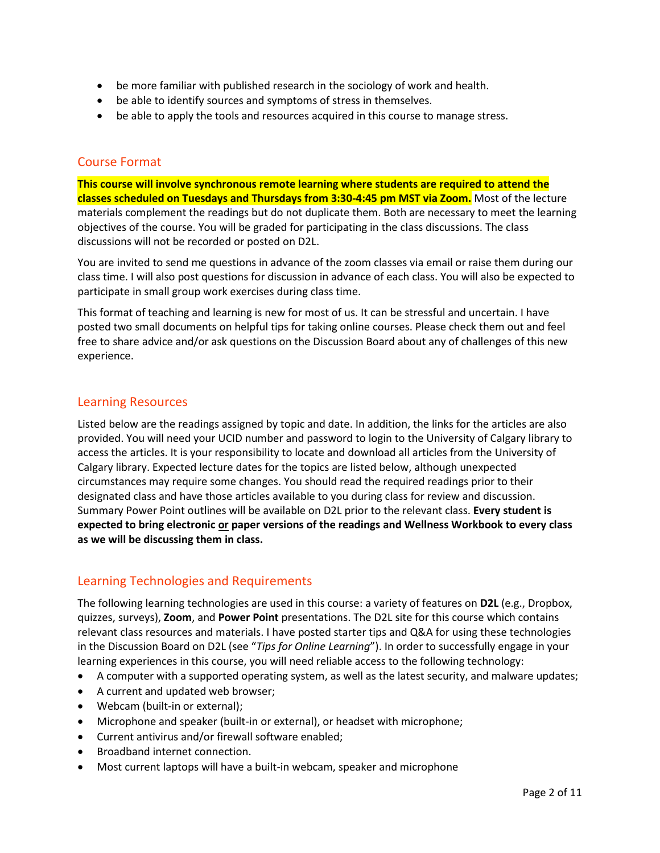- be more familiar with published research in the sociology of work and health.
- be able to identify sources and symptoms of stress in themselves.
- be able to apply the tools and resources acquired in this course to manage stress.

### Course Format

**This course will involve synchronous remote learning where students are required to attend the classes scheduled on Tuesdays and Thursdays from 3:30-4:45 pm MST via Zoom.** Most of the lecture materials complement the readings but do not duplicate them. Both are necessary to meet the learning objectives of the course. You will be graded for participating in the class discussions. The class discussions will not be recorded or posted on D2L.

You are invited to send me questions in advance of the zoom classes via email or raise them during our class time. I will also post questions for discussion in advance of each class. You will also be expected to participate in small group work exercises during class time.

This format of teaching and learning is new for most of us. It can be stressful and uncertain. I have posted two small documents on helpful tips for taking online courses. Please check them out and feel free to share advice and/or ask questions on the Discussion Board about any of challenges of this new experience.

## Learning Resources

Listed below are the readings assigned by topic and date. In addition, the links for the articles are also provided. You will need your UCID number and password to login to the University of Calgary library to access the articles. It is your responsibility to locate and download all articles from the University of Calgary library. Expected lecture dates for the topics are listed below, although unexpected circumstances may require some changes. You should read the required readings prior to their designated class and have those articles available to you during class for review and discussion. Summary Power Point outlines will be available on D2L prior to the relevant class. **Every student is expected to bring electronic or paper versions of the readings and Wellness Workbook to every class as we will be discussing them in class.**

## Learning Technologies and Requirements

The following learning technologies are used in this course: a variety of features on **D2L** (e.g., Dropbox, quizzes, surveys), **Zoom**, and **Power Point** presentations. The D2L site for this course which contains relevant class resources and materials. I have posted starter tips and Q&A for using these technologies in the Discussion Board on D2L (see "*Tips for Online Learning*"). In order to successfully engage in your learning experiences in this course, you will need reliable access to the following technology:

- A computer with a supported operating system, as well as the latest security, and malware updates;
- A current and updated web browser;
- Webcam (built-in or external);
- Microphone and speaker (built-in or external), or headset with microphone;
- Current antivirus and/or firewall software enabled;
- Broadband internet connection.
- Most current laptops will have a built-in webcam, speaker and microphone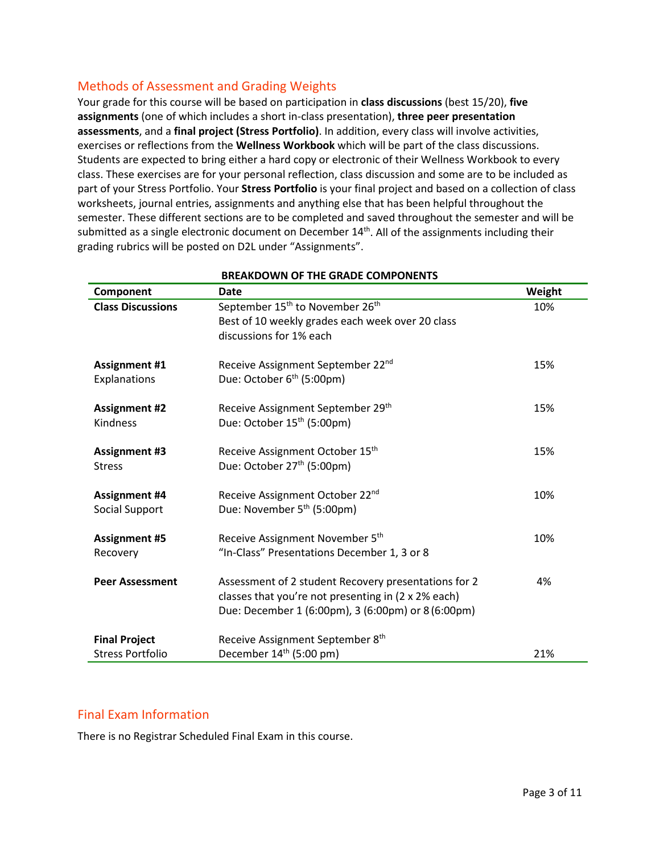## Methods of Assessment and Grading Weights

Your grade for this course will be based on participation in **class discussions** (best 15/20), **five assignments** (one of which includes a short in-class presentation), **three peer presentation assessments**, and a **final project (Stress Portfolio)**. In addition, every class will involve activities, exercises or reflections from the **Wellness Workbook** which will be part of the class discussions. Students are expected to bring either a hard copy or electronic of their Wellness Workbook to every class. These exercises are for your personal reflection, class discussion and some are to be included as part of your Stress Portfolio. Your **Stress Portfolio** is your final project and based on a collection of class worksheets, journal entries, assignments and anything else that has been helpful throughout the semester. These different sections are to be completed and saved throughout the semester and will be submitted as a single electronic document on December  $14<sup>th</sup>$ . All of the assignments including their grading rubrics will be posted on D2L under "Assignments".

| Component                | <b>Date</b>                                             | Weight |
|--------------------------|---------------------------------------------------------|--------|
| <b>Class Discussions</b> | September 15 <sup>th</sup> to November 26 <sup>th</sup> | 10%    |
|                          | Best of 10 weekly grades each week over 20 class        |        |
|                          | discussions for 1% each                                 |        |
| <b>Assignment #1</b>     | Receive Assignment September 22 <sup>nd</sup>           | 15%    |
| Explanations             | Due: October 6 <sup>th</sup> (5:00pm)                   |        |
| <b>Assignment #2</b>     | Receive Assignment September 29 <sup>th</sup>           | 15%    |
| Kindness                 | Due: October 15 <sup>th</sup> (5:00pm)                  |        |
| <b>Assignment #3</b>     | Receive Assignment October 15th                         | 15%    |
| <b>Stress</b>            | Due: October 27 <sup>th</sup> (5:00pm)                  |        |
| <b>Assignment #4</b>     | Receive Assignment October 22 <sup>nd</sup>             | 10%    |
| Social Support           | Due: November 5 <sup>th</sup> (5:00pm)                  |        |
| <b>Assignment #5</b>     | Receive Assignment November 5th                         | 10%    |
| Recovery                 | "In-Class" Presentations December 1, 3 or 8             |        |
| <b>Peer Assessment</b>   | Assessment of 2 student Recovery presentations for 2    | 4%     |
|                          | classes that you're not presenting in (2 x 2% each)     |        |
|                          | Due: December 1 (6:00pm), 3 (6:00pm) or 8 (6:00pm)      |        |
| <b>Final Project</b>     | Receive Assignment September 8 <sup>th</sup>            |        |
| <b>Stress Portfolio</b>  | December $14th$ (5:00 pm)                               | 21%    |

#### **BREAKDOWN OF THE GRADE COMPONENTS**

## Final Exam Information

There is no Registrar Scheduled Final Exam in this course.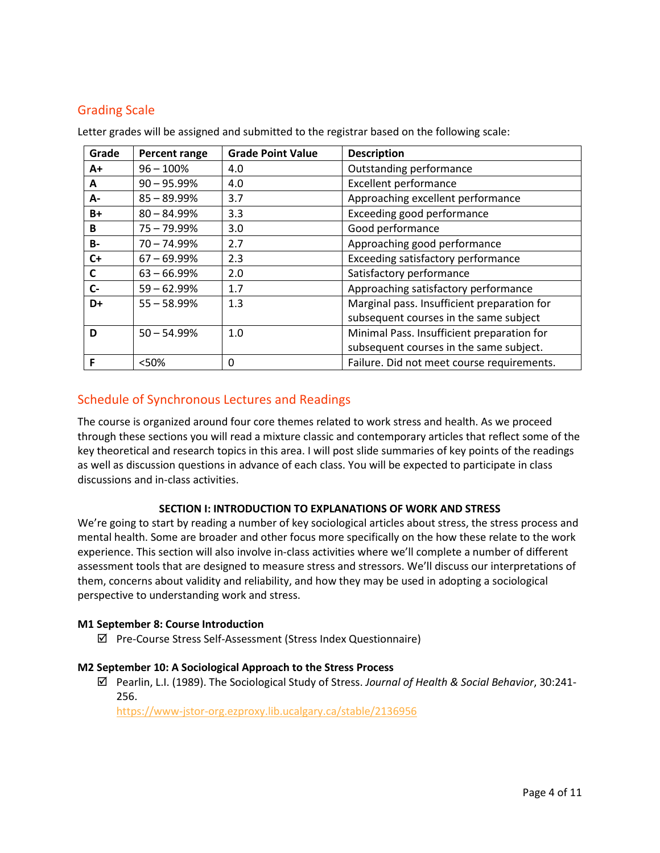## Grading Scale

| Grade     | Percent range  | <b>Grade Point Value</b> | <b>Description</b>                          |
|-----------|----------------|--------------------------|---------------------------------------------|
| A+        | $96 - 100%$    | 4.0                      | Outstanding performance                     |
| A         | $90 - 95.99%$  | 4.0                      | <b>Excellent performance</b>                |
| А-        | $85 - 89.99\%$ | 3.7                      | Approaching excellent performance           |
| B+        | $80 - 84.99%$  | 3.3                      | Exceeding good performance                  |
| B         | $75 - 79.99%$  | 3.0                      | Good performance                            |
| <b>B-</b> | 70 - 74.99%    | 2.7                      | Approaching good performance                |
| $C+$      | $67 - 69.99%$  | 2.3                      | Exceeding satisfactory performance          |
| C         | $63 - 66.99%$  | 2.0                      | Satisfactory performance                    |
| $C-$      | $59 - 62.99%$  | 1.7                      | Approaching satisfactory performance        |
| D+        | $55 - 58.99%$  | 1.3                      | Marginal pass. Insufficient preparation for |
|           |                |                          | subsequent courses in the same subject      |
| D         | $50 - 54.99%$  | 1.0                      | Minimal Pass. Insufficient preparation for  |
|           |                |                          | subsequent courses in the same subject.     |
| F         | <50%           | 0                        | Failure. Did not meet course requirements.  |

Letter grades will be assigned and submitted to the registrar based on the following scale:

## Schedule of Synchronous Lectures and Readings

The course is organized around four core themes related to work stress and health. As we proceed through these sections you will read a mixture classic and contemporary articles that reflect some of the key theoretical and research topics in this area. I will post slide summaries of key points of the readings as well as discussion questions in advance of each class. You will be expected to participate in class discussions and in-class activities.

### **SECTION I: INTRODUCTION TO EXPLANATIONS OF WORK AND STRESS**

We're going to start by reading a number of key sociological articles about stress, the stress process and mental health. Some are broader and other focus more specifically on the how these relate to the work experience. This section will also involve in-class activities where we'll complete a number of different assessment tools that are designed to measure stress and stressors. We'll discuss our interpretations of them, concerns about validity and reliability, and how they may be used in adopting a sociological perspective to understanding work and stress.

### **M1 September 8: Course Introduction**

 $\boxtimes$  Pre-Course Stress Self-Assessment (Stress Index Questionnaire)

### **M2 September 10: A Sociological Approach to the Stress Process**

 Pearlin, L.I. (1989). The Sociological Study of Stress. *Journal of Health & Social Behavior*, 30:241- 256.

<https://www-jstor-org.ezproxy.lib.ucalgary.ca/stable/2136956>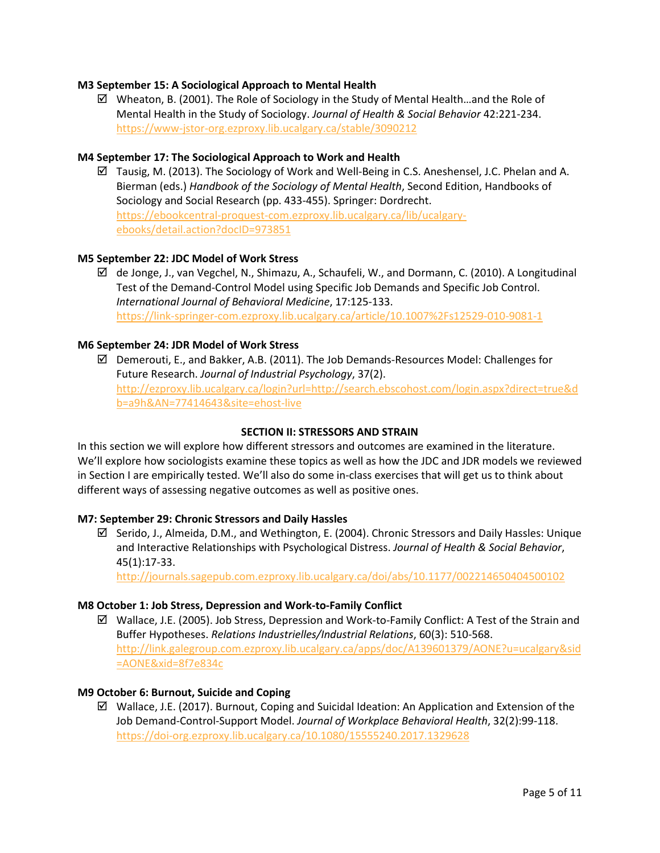#### **M3 September 15: A Sociological Approach to Mental Health**

 $\boxtimes$  Wheaton, B. (2001). The Role of Sociology in the Study of Mental Health...and the Role of Mental Health in the Study of Sociology. *Journal of Health & Social Behavior* 42:221-234. <https://www-jstor-org.ezproxy.lib.ucalgary.ca/stable/3090212>

### **M4 September 17: The Sociological Approach to Work and Health**

 $\boxtimes$  Tausig, M. (2013). The Sociology of Work and Well-Being in C.S. Aneshensel, J.C. Phelan and A. Bierman (eds.) *Handbook of the Sociology of Mental Health*, Second Edition, Handbooks of Sociology and Social Research (pp. 433-455). Springer: Dordrecht. [https://ebookcentral-proquest-com.ezproxy.lib.ucalgary.ca/lib/ucalgary](https://ebookcentral-proquest-com.ezproxy.lib.ucalgary.ca/lib/ucalgary-ebooks/detail.action?docID=973851)[ebooks/detail.action?docID=973851](https://ebookcentral-proquest-com.ezproxy.lib.ucalgary.ca/lib/ucalgary-ebooks/detail.action?docID=973851)

#### **M5 September 22: JDC Model of Work Stress**

 $\boxtimes$  de Jonge, J., van Vegchel, N., Shimazu, A., Schaufeli, W., and Dormann, C. (2010). A Longitudinal Test of the Demand-Control Model using Specific Job Demands and Specific Job Control. *International Journal of Behavioral Medicine*, 17:125-133. <https://link-springer-com.ezproxy.lib.ucalgary.ca/article/10.1007%2Fs12529-010-9081-1>

### **M6 September 24: JDR Model of Work Stress**

 $\boxtimes$  Demerouti, E., and Bakker, A.B. (2011). The Job Demands-Resources Model: Challenges for Future Research. *Journal of Industrial Psychology*, 37(2). [http://ezproxy.lib.ucalgary.ca/login?url=http://search.ebscohost.com/login.aspx?direct=true&d](http://ezproxy.lib.ucalgary.ca/login?url=http://search.ebscohost.com/login.aspx?direct=true&db=a9h&AN=77414643&site=ehost-live) [b=a9h&AN=77414643&site=ehost-live](http://ezproxy.lib.ucalgary.ca/login?url=http://search.ebscohost.com/login.aspx?direct=true&db=a9h&AN=77414643&site=ehost-live)

#### **SECTION II: STRESSORS AND STRAIN**

In this section we will explore how different stressors and outcomes are examined in the literature. We'll explore how sociologists examine these topics as well as how the JDC and JDR models we reviewed in Section I are empirically tested. We'll also do some in-class exercises that will get us to think about different ways of assessing negative outcomes as well as positive ones.

#### **M7: September 29: Chronic Stressors and Daily Hassles**

 $\boxtimes$  Serido, J., Almeida, D.M., and Wethington, E. (2004). Chronic Stressors and Daily Hassles: Unique and Interactive Relationships with Psychological Distress. *Journal of Health & Social Behavior*, 45(1):17-33.

<http://journals.sagepub.com.ezproxy.lib.ucalgary.ca/doi/abs/10.1177/002214650404500102>

#### **M8 October 1: Job Stress, Depression and Work-to-Family Conflict**

 $\boxtimes$  Wallace, J.E. (2005). Job Stress, Depression and Work-to-Family Conflict: A Test of the Strain and Buffer Hypotheses. *Relations Industrielles/Industrial Relations*, 60(3): 510-568. [http://link.galegroup.com.ezproxy.lib.ucalgary.ca/apps/doc/A139601379/AONE?u=ucalgary&sid](http://link.galegroup.com.ezproxy.lib.ucalgary.ca/apps/doc/A139601379/AONE?u=ucalgary&sid=AONE&xid=8f7e834c) [=AONE&xid=8f7e834c](http://link.galegroup.com.ezproxy.lib.ucalgary.ca/apps/doc/A139601379/AONE?u=ucalgary&sid=AONE&xid=8f7e834c)

#### **M9 October 6: Burnout, Suicide and Coping**

 $\boxtimes$  Wallace, J.E. (2017). Burnout, Coping and Suicidal Ideation: An Application and Extension of the Job Demand-Control-Support Model. *Journal of Workplace Behavioral Health*, 32(2):99-118. <https://doi-org.ezproxy.lib.ucalgary.ca/10.1080/15555240.2017.1329628>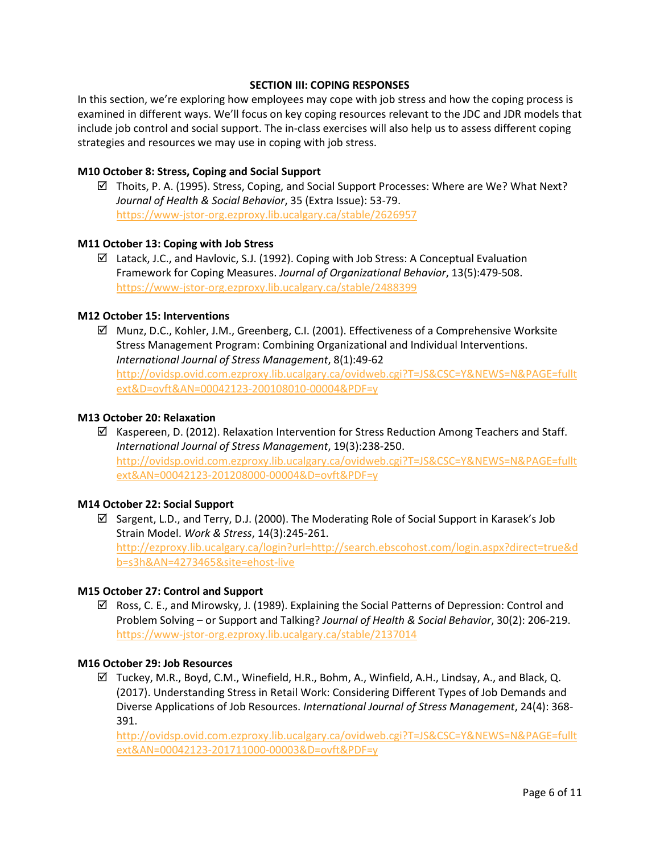### **SECTION III: COPING RESPONSES**

In this section, we're exploring how employees may cope with job stress and how the coping process is examined in different ways. We'll focus on key coping resources relevant to the JDC and JDR models that include job control and social support. The in-class exercises will also help us to assess different coping strategies and resources we may use in coping with job stress.

### **M10 October 8: Stress, Coping and Social Support**

 $\boxtimes$  Thoits, P. A. (1995). Stress, Coping, and Social Support Processes: Where are We? What Next? *Journal of Health & Social Behavior*, 35 (Extra Issue): 53-79. <https://www-jstor-org.ezproxy.lib.ucalgary.ca/stable/2626957>

### **M11 October 13: Coping with Job Stress**

 $\boxtimes$  Latack, J.C., and Havlovic, S.J. (1992). Coping with Job Stress: A Conceptual Evaluation Framework for Coping Measures. *Journal of Organizational Behavior*, 13(5):479-508. <https://www-jstor-org.ezproxy.lib.ucalgary.ca/stable/2488399>

### **M12 October 15: Interventions**

 Munz, D.C., Kohler, J.M., Greenberg, C.I. (2001). Effectiveness of a Comprehensive Worksite Stress Management Program: Combining Organizational and Individual Interventions. *International Journal of Stress Management*, 8(1):49-62 [http://ovidsp.ovid.com.ezproxy.lib.ucalgary.ca/ovidweb.cgi?T=JS&CSC=Y&NEWS=N&PAGE=fullt](http://ovidsp.ovid.com.ezproxy.lib.ucalgary.ca/ovidweb.cgi?T=JS&CSC=Y&NEWS=N&PAGE=fulltext&D=ovft&AN=00042123-200108010-00004&PDF=y) [ext&D=ovft&AN=00042123-200108010-00004&PDF=y](http://ovidsp.ovid.com.ezproxy.lib.ucalgary.ca/ovidweb.cgi?T=JS&CSC=Y&NEWS=N&PAGE=fulltext&D=ovft&AN=00042123-200108010-00004&PDF=y)

### **M13 October 20: Relaxation**

 $\boxtimes$  Kaspereen, D. (2012). Relaxation Intervention for Stress Reduction Among Teachers and Staff. *International Journal of Stress Management*, 19(3):238-250. [http://ovidsp.ovid.com.ezproxy.lib.ucalgary.ca/ovidweb.cgi?T=JS&CSC=Y&NEWS=N&PAGE=fullt](http://ovidsp.ovid.com.ezproxy.lib.ucalgary.ca/ovidweb.cgi?T=JS&CSC=Y&NEWS=N&PAGE=fulltext&AN=00042123-201208000-00004&D=ovft&PDF=y) [ext&AN=00042123-201208000-00004&D=ovft&PDF=y](http://ovidsp.ovid.com.ezproxy.lib.ucalgary.ca/ovidweb.cgi?T=JS&CSC=Y&NEWS=N&PAGE=fulltext&AN=00042123-201208000-00004&D=ovft&PDF=y)

#### **M14 October 22: Social Support**

 $\boxtimes$  Sargent, L.D., and Terry, D.J. (2000). The Moderating Role of Social Support in Karasek's Job Strain Model. *Work & Stress*, 14(3):245-261. [http://ezproxy.lib.ucalgary.ca/login?url=http://search.ebscohost.com/login.aspx?direct=true&d](http://ezproxy.lib.ucalgary.ca/login?url=http://search.ebscohost.com/login.aspx?direct=true&db=s3h&AN=4273465&site=ehost-live) [b=s3h&AN=4273465&site=ehost-live](http://ezproxy.lib.ucalgary.ca/login?url=http://search.ebscohost.com/login.aspx?direct=true&db=s3h&AN=4273465&site=ehost-live)

#### **M15 October 27: Control and Support**

 $\boxtimes$  Ross, C. E., and Mirowsky, J. (1989). Explaining the Social Patterns of Depression: Control and Problem Solving – or Support and Talking? *Journal of Health & Social Behavior*, 30(2): 206-219. <https://www-jstor-org.ezproxy.lib.ucalgary.ca/stable/2137014>

### **M16 October 29: Job Resources**

 $\boxtimes$  Tuckey, M.R., Boyd, C.M., Winefield, H.R., Bohm, A., Winfield, A.H., Lindsay, A., and Black, Q. (2017). Understanding Stress in Retail Work: Considering Different Types of Job Demands and Diverse Applications of Job Resources. *International Journal of Stress Management*, 24(4): 368- 391.

[http://ovidsp.ovid.com.ezproxy.lib.ucalgary.ca/ovidweb.cgi?T=JS&CSC=Y&NEWS=N&PAGE=fullt](http://ovidsp.ovid.com.ezproxy.lib.ucalgary.ca/ovidweb.cgi?T=JS&CSC=Y&NEWS=N&PAGE=fulltext&AN=00042123-201711000-00003&D=ovft&PDF=y) [ext&AN=00042123-201711000-00003&D=ovft&PDF=y](http://ovidsp.ovid.com.ezproxy.lib.ucalgary.ca/ovidweb.cgi?T=JS&CSC=Y&NEWS=N&PAGE=fulltext&AN=00042123-201711000-00003&D=ovft&PDF=y)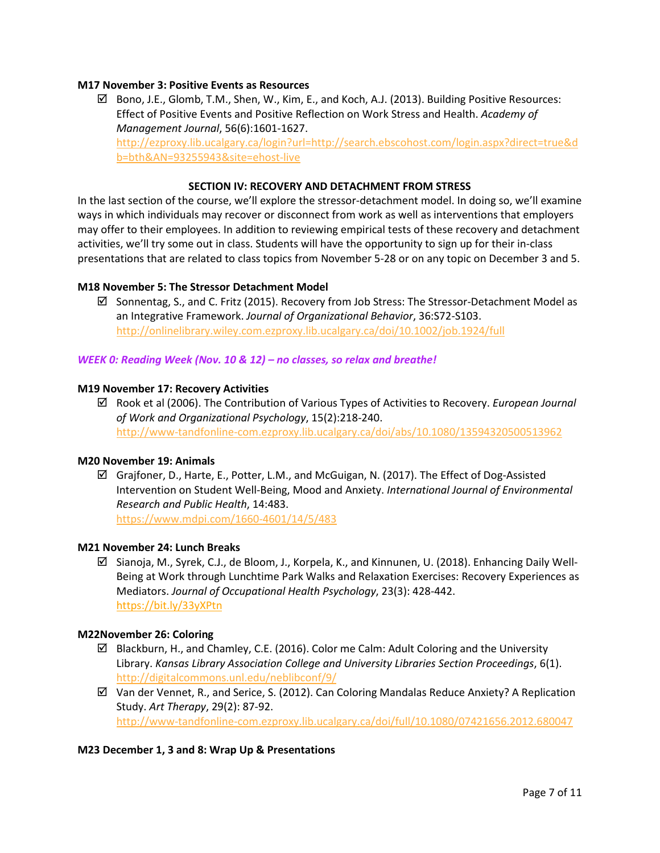### **M17 November 3: Positive Events as Resources**

 $\boxtimes$  Bono, J.E., Glomb, T.M., Shen, W., Kim, E., and Koch, A.J. (2013). Building Positive Resources: Effect of Positive Events and Positive Reflection on Work Stress and Health. *Academy of Management Journal*, 56(6):1601-1627. [http://ezproxy.lib.ucalgary.ca/login?url=http://search.ebscohost.com/login.aspx?direct=true&d](http://ezproxy.lib.ucalgary.ca/login?url=http://search.ebscohost.com/login.aspx?direct=true&db=bth&AN=93255943&site=ehost-live) [b=bth&AN=93255943&site=ehost-live](http://ezproxy.lib.ucalgary.ca/login?url=http://search.ebscohost.com/login.aspx?direct=true&db=bth&AN=93255943&site=ehost-live)

### **SECTION IV: RECOVERY AND DETACHMENT FROM STRESS**

In the last section of the course, we'll explore the stressor-detachment model. In doing so, we'll examine ways in which individuals may recover or disconnect from work as well as interventions that employers may offer to their employees. In addition to reviewing empirical tests of these recovery and detachment activities, we'll try some out in class. Students will have the opportunity to sign up for their in-class presentations that are related to class topics from November 5-28 or on any topic on December 3 and 5.

### **M18 November 5: The Stressor Detachment Model**

 $\boxtimes$  Sonnentag, S., and C. Fritz (2015). Recovery from Job Stress: The Stressor-Detachment Model as an Integrative Framework. *Journal of Organizational Behavior*, 36:S72-S103. <http://onlinelibrary.wiley.com.ezproxy.lib.ucalgary.ca/doi/10.1002/job.1924/full>

#### *WEEK 0: Reading Week (Nov. 10 & 12) – no classes, so relax and breathe!*

### **M19 November 17: Recovery Activities**

 Rook et al (2006). The Contribution of Various Types of Activities to Recovery. *European Journal of Work and Organizational Psychology*, 15(2):218-240. <http://www-tandfonline-com.ezproxy.lib.ucalgary.ca/doi/abs/10.1080/13594320500513962>

#### **M20 November 19: Animals**

 Grajfoner, D., Harte, E., Potter, L.M., and McGuigan, N. (2017). The Effect of Dog-Assisted Intervention on Student Well-Being, Mood and Anxiety. *International Journal of Environmental Research and Public Health*, 14:483.

<https://www.mdpi.com/1660-4601/14/5/483>

#### **M21 November 24: Lunch Breaks**

 $\boxtimes$  Sianoja, M., Syrek, C.J., de Bloom, J., Korpela, K., and Kinnunen, U. (2018). Enhancing Daily Well-Being at Work through Lunchtime Park Walks and Relaxation Exercises: Recovery Experiences as Mediators. *Journal of Occupational Health Psychology*, 23(3): 428-442. <https://bit.ly/33yXPtn>

#### **M22November 26: Coloring**

- $\boxtimes$  Blackburn, H., and Chamley, C.E. (2016). Color me Calm: Adult Coloring and the University Library. *Kansas Library Association College and University Libraries Section Proceedings*, 6(1). <http://digitalcommons.unl.edu/neblibconf/9/>
- $\boxtimes$  Van der Vennet, R., and Serice, S. (2012). Can Coloring Mandalas Reduce Anxiety? A Replication Study. *Art Therapy*, 29(2): 87-92. <http://www-tandfonline-com.ezproxy.lib.ucalgary.ca/doi/full/10.1080/07421656.2012.680047>

#### **M23 December 1, 3 and 8: Wrap Up & Presentations**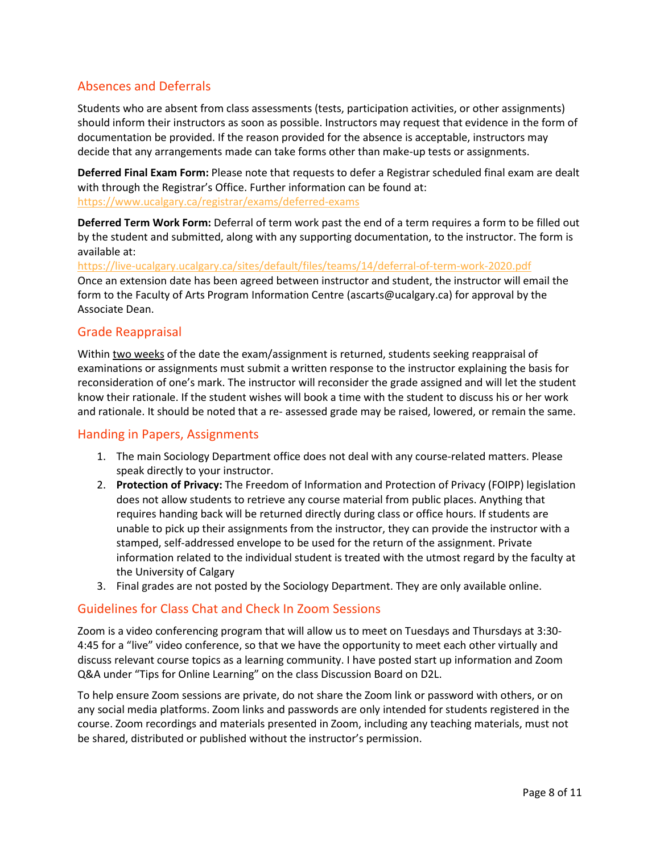## Absences and Deferrals

Students who are absent from class assessments (tests, participation activities, or other assignments) should inform their instructors as soon as possible. Instructors may request that evidence in the form of documentation be provided. If the reason provided for the absence is acceptable, instructors may decide that any arrangements made can take forms other than make-up tests or assignments.

**Deferred Final Exam Form:** Please note that requests to defer a Registrar scheduled final exam are dealt with through the Registrar's Office. Further information can be found at: <https://www.ucalgary.ca/registrar/exams/deferred-exams>

**Deferred Term Work Form:** Deferral of term work past the end of a term requires a form to be filled out by the student and submitted, along with any supporting documentation, to the instructor. The form is available at:

<https://live-ucalgary.ucalgary.ca/sites/default/files/teams/14/deferral-of-term-work-2020.pdf> Once an extension date has been agreed between instructor and student, the instructor will email the form to the Faculty of Arts Program Information Centre (ascarts@ucalgary.ca) for approval by the Associate Dean.

## Grade Reappraisal

Within two weeks of the date the exam/assignment is returned, students seeking reappraisal of examinations or assignments must submit a written response to the instructor explaining the basis for reconsideration of one's mark. The instructor will reconsider the grade assigned and will let the student know their rationale. If the student wishes will book a time with the student to discuss his or her work and rationale. It should be noted that a re- assessed grade may be raised, lowered, or remain the same.

## Handing in Papers, Assignments

- 1. The main Sociology Department office does not deal with any course-related matters. Please speak directly to your instructor.
- 2. **Protection of Privacy:** The Freedom of Information and Protection of Privacy (FOIPP) legislation does not allow students to retrieve any course material from public places. Anything that requires handing back will be returned directly during class or office hours. If students are unable to pick up their assignments from the instructor, they can provide the instructor with a stamped, self-addressed envelope to be used for the return of the assignment. Private information related to the individual student is treated with the utmost regard by the faculty at the University of Calgary
- 3. Final grades are not posted by the Sociology Department. They are only available online.

## Guidelines for Class Chat and Check In Zoom Sessions

Zoom is a video conferencing program that will allow us to meet on Tuesdays and Thursdays at 3:30- 4:45 for a "live" video conference, so that we have the opportunity to meet each other virtually and discuss relevant course topics as a learning community. I have posted start up information and Zoom Q&A under "Tips for Online Learning" on the class Discussion Board on D2L.

To help ensure Zoom sessions are private, do not share the Zoom link or password with others, or on any social media platforms. Zoom links and passwords are only intended for students registered in the course. Zoom recordings and materials presented in Zoom, including any teaching materials, must not be shared, distributed or published without the instructor's permission.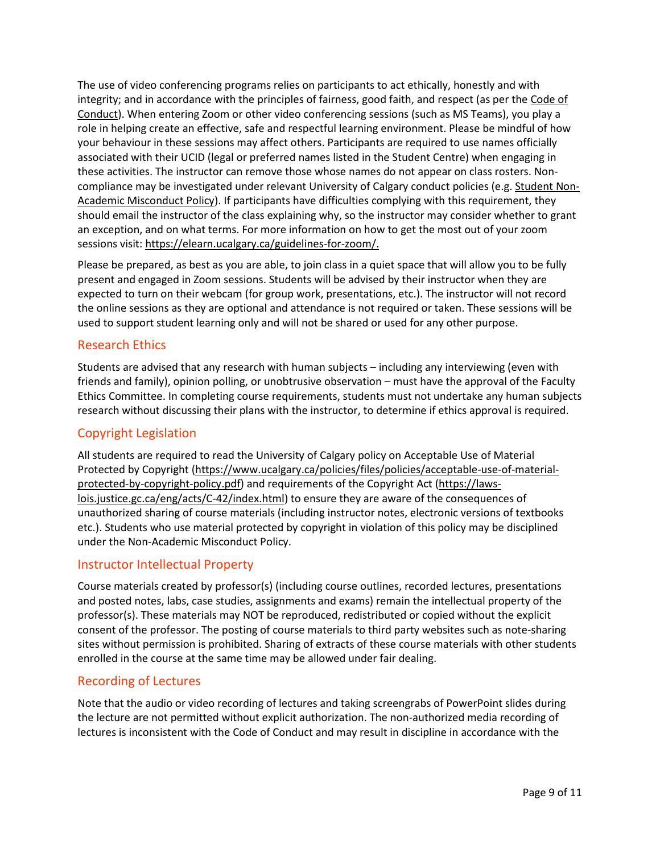The use of video conferencing programs relies on participants to act ethically, honestly and with integrity; and in accordance with the principles of fairness, good faith, and respect (as per the Code of [Conduct\)](https://www.ucalgary.ca/policies/files/policies/code-of-conduct.pdf). When entering Zoom or other video conferencing sessions (such as MS Teams), you play a role in helping create an effective, safe and respectful learning environment. Please be mindful of how your behaviour in these sessions may affect others. Participants are required to use names officially associated with their UCID (legal or preferred names listed in the Student Centre) when engaging in these activities. The instructor can remove those whose names do not appear on class rosters. Noncompliance may be investigated under relevant University of Calgary conduct policies (e.g. [Student Non-](https://ucalgary.ca/policies/files/policies/non-academic-misconduct-policy.pdf)[Academic Misconduct Policy\)](https://ucalgary.ca/policies/files/policies/non-academic-misconduct-policy.pdf). If participants have difficulties complying with this requirement, they should email the instructor of the class explaining why, so the instructor may consider whether to grant an exception, and on what terms. For more information on how to get the most out of your zoom sessions visit[: https://elearn.ucalgary.ca/guidelines-for-zoom/.](https://elearn.ucalgary.ca/guidelines-for-zoom/)

Please be prepared, as best as you are able, to join class in a quiet space that will allow you to be fully present and engaged in Zoom sessions. Students will be advised by their instructor when they are expected to turn on their webcam (for group work, presentations, etc.). The instructor will not record the online sessions as they are optional and attendance is not required or taken. These sessions will be used to support student learning only and will not be shared or used for any other purpose.

## Research Ethics

Students are advised that any research with human subjects – including any interviewing (even with friends and family), opinion polling, or unobtrusive observation – must have the approval of the Faculty Ethics Committee. In completing course requirements, students must not undertake any human subjects research without discussing their plans with the instructor, to determine if ethics approval is required.

## Copyright Legislation

All students are required to read the University of Calgary policy on Acceptable Use of Material Protected by Copyright [\(https://www.ucalgary.ca/policies/files/policies/acceptable-use-of-material](https://www.ucalgary.ca/policies/files/policies/acceptable-use-of-material-protected-by-copyright-policy.pdf)[protected-by-copyright-policy.pdf\)](https://www.ucalgary.ca/policies/files/policies/acceptable-use-of-material-protected-by-copyright-policy.pdf) and requirements of the Copyright Act [\(https://laws](https://laws-lois.justice.gc.ca/eng/acts/C-42/index.html)[lois.justice.gc.ca/eng/acts/C-42/index.html\)](https://laws-lois.justice.gc.ca/eng/acts/C-42/index.html) to ensure they are aware of the consequences of unauthorized sharing of course materials (including instructor notes, electronic versions of textbooks etc.). Students who use material protected by copyright in violation of this policy may be disciplined under the Non-Academic Misconduct Policy.

## Instructor Intellectual Property

Course materials created by professor(s) (including course outlines, recorded lectures, presentations and posted notes, labs, case studies, assignments and exams) remain the intellectual property of the professor(s). These materials may NOT be reproduced, redistributed or copied without the explicit consent of the professor. The posting of course materials to third party websites such as note-sharing sites without permission is prohibited. Sharing of extracts of these course materials with other students enrolled in the course at the same time may be allowed under fair dealing.

## Recording of Lectures

Note that the audio or video recording of lectures and taking screengrabs of PowerPoint slides during the lecture are not permitted without explicit authorization. The non-authorized media recording of lectures is inconsistent with the Code of Conduct and may result in discipline in accordance with the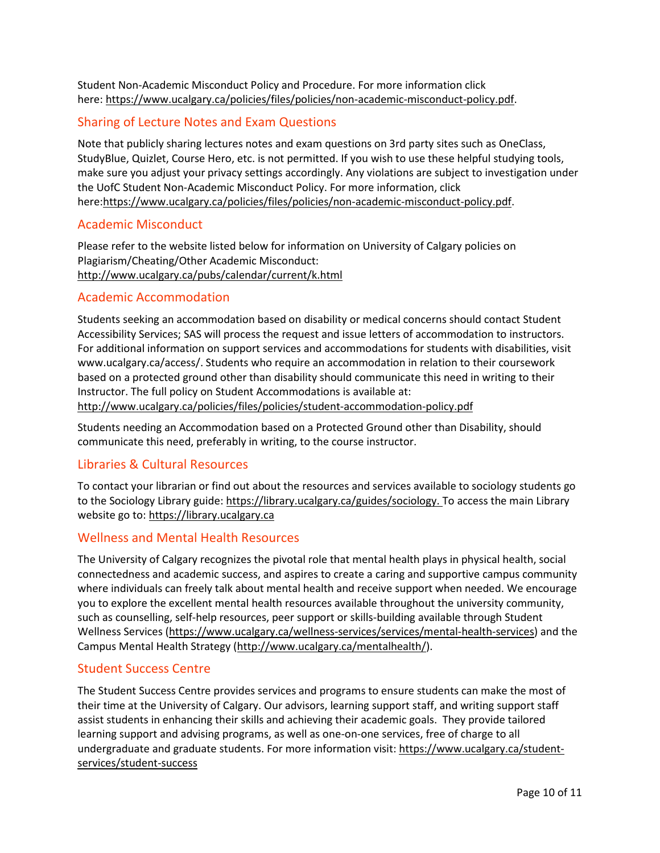Student Non-Academic Misconduct Policy and Procedure. For more information click here: [https://www.ucalgary.ca/policies/files/policies/non-academic-misconduct-policy.pdf.](https://www.ucalgary.ca/policies/files/policies/non-academic-misconduct-policy.pdf)

## Sharing of Lecture Notes and Exam Questions

Note that publicly sharing lectures notes and exam questions on 3rd party sites such as OneClass, StudyBlue, Quizlet, Course Hero, etc. is not permitted. If you wish to use these helpful studying tools, make sure you adjust your privacy settings accordingly. Any violations are subject to investigation under the UofC Student Non-Academic Misconduct Policy. For more information, click here[:https://www.ucalgary.ca/policies/files/policies/non-academic-misconduct-policy.pdf.](https://www.ucalgary.ca/policies/files/policies/non-academic-misconduct-policy.pdf)

### Academic Misconduct

Please refer to the website listed below for information on University of Calgary policies on Plagiarism/Cheating/Other Academic Misconduct: <http://www.ucalgary.ca/pubs/calendar/current/k.html>

### Academic Accommodation

Students seeking an accommodation based on disability or medical concerns should contact Student Accessibility Services; SAS will process the request and issue letters of accommodation to instructors. For additional information on support services and accommodations for students with disabilities, visit www.ucalgary.ca/access/. Students who require an accommodation in relation to their coursework based on a protected ground other than disability should communicate this need in writing to their Instructor. The full policy on Student Accommodations is available at: <http://www.ucalgary.ca/policies/files/policies/student-accommodation-policy.pdf>

Students needing an Accommodation based on a Protected Ground other than Disability, should communicate this need, preferably in writing, to the course instructor.

## Libraries & Cultural Resources

To contact your librarian or find out about the resources and services available to sociology students go to the Sociology Library guide[: https://library.ucalgary.ca/guides/sociology.](https://library.ucalgary.ca/guides/sociology) To access the main Library website go to: [https://library.ucalgary.ca](https://library.ucalgary.ca/)

## Wellness and Mental Health Resources

The University of Calgary recognizes the pivotal role that mental health plays in physical health, social connectedness and academic success, and aspires to create a caring and supportive campus community where individuals can freely talk about mental health and receive support when needed. We encourage you to explore the excellent mental health resources available throughout the university community, such as counselling, self-help resources, peer support or skills-building available through Student Wellness Services [\(https://www.ucalgary.ca/wellness-services/services/mental-health-services\)](https://www.ucalgary.ca/wellness-services/services/mental-health-services) and the Campus Mental Health Strategy [\(http://www.ucalgary.ca/mentalhealth/\)](http://www.ucalgary.ca/mentalhealth/).

## Student Success Centre

The Student Success Centre provides services and programs to ensure students can make the most of their time at the University of Calgary. Our advisors, learning support staff, and writing support staff assist students in enhancing their skills and achieving their academic goals. They provide tailored learning support and advising programs, as well as one-on-one services, free of charge to all undergraduate and graduate students. For more information visit: [https://www.ucalgary.ca/student](https://www.ucalgary.ca/student-services/student-success)[services/student-success](https://www.ucalgary.ca/student-services/student-success)